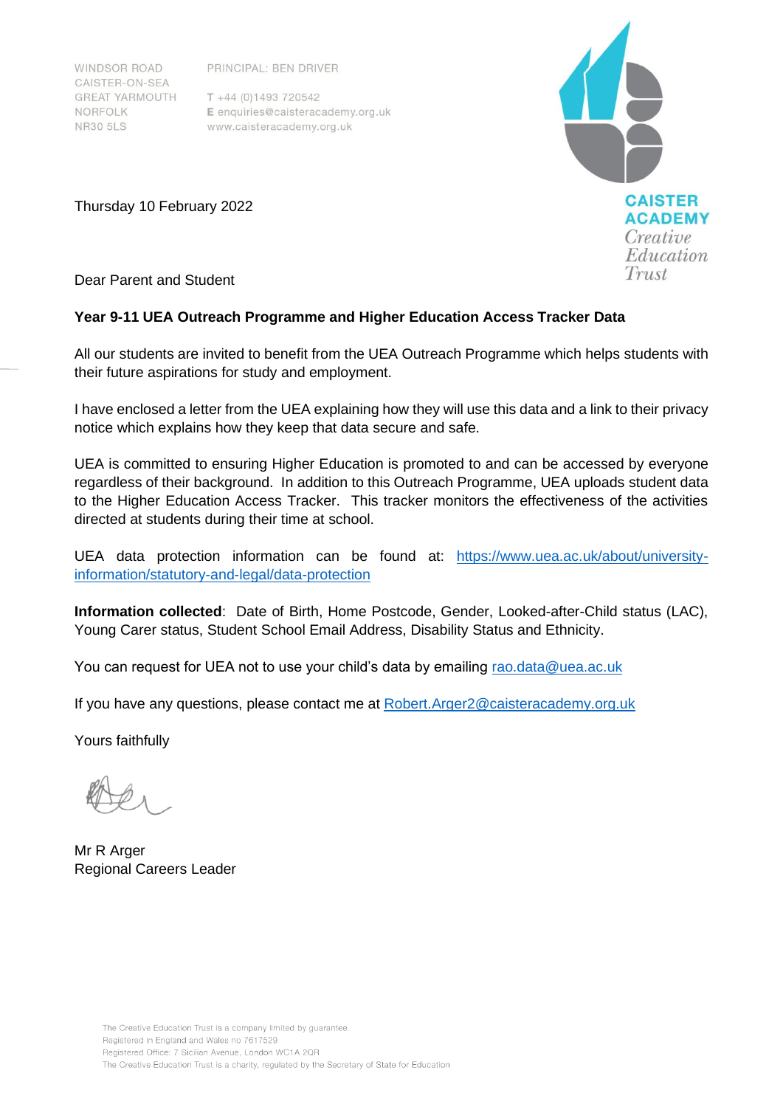**WINDSOR ROAD** CAISTER-ON-SEA **GREAT YARMOUTH** NORFOLK **NR30 5LS** 

PRINCIPAL: BEN DRIVER

 $T + 44 (0)1493 720542$ E enquiries@caisteracademy.org.uk www.caisteracademy.org.uk



Thursday 10 February 2022

Dear Parent and Student

# **Year 9-11 UEA Outreach Programme and Higher Education Access Tracker Data**

All our students are invited to benefit from the UEA Outreach Programme which helps students with their future aspirations for study and employment.

I have enclosed a letter from the UEA explaining how they will use this data and a link to their privacy notice which explains how they keep that data secure and safe.

UEA is committed to ensuring Higher Education is promoted to and can be accessed by everyone regardless of their background. In addition to this Outreach Programme, UEA uploads student data to the Higher Education Access Tracker. This tracker monitors the effectiveness of the activities directed at students during their time at school.

UEA data protection information can be found at: [https://www.uea.ac.uk/about/university](https://www.uea.ac.uk/about/university-information/statutory-and-legal/data-protection)[information/statutory-and-legal/data-protection](https://www.uea.ac.uk/about/university-information/statutory-and-legal/data-protection)

**Information collected**: Date of Birth, Home Postcode, Gender, Looked-after-Child status (LAC), Young Carer status, Student School Email Address, Disability Status and Ethnicity.

You can request for UEA not to use your child's data by emailing rao.data@uea.ac.uk

If you have any questions, please contact me at Robert.Arger2@caisteracademy.org.uk

Yours faithfully

Mr R Arger Regional Careers Leader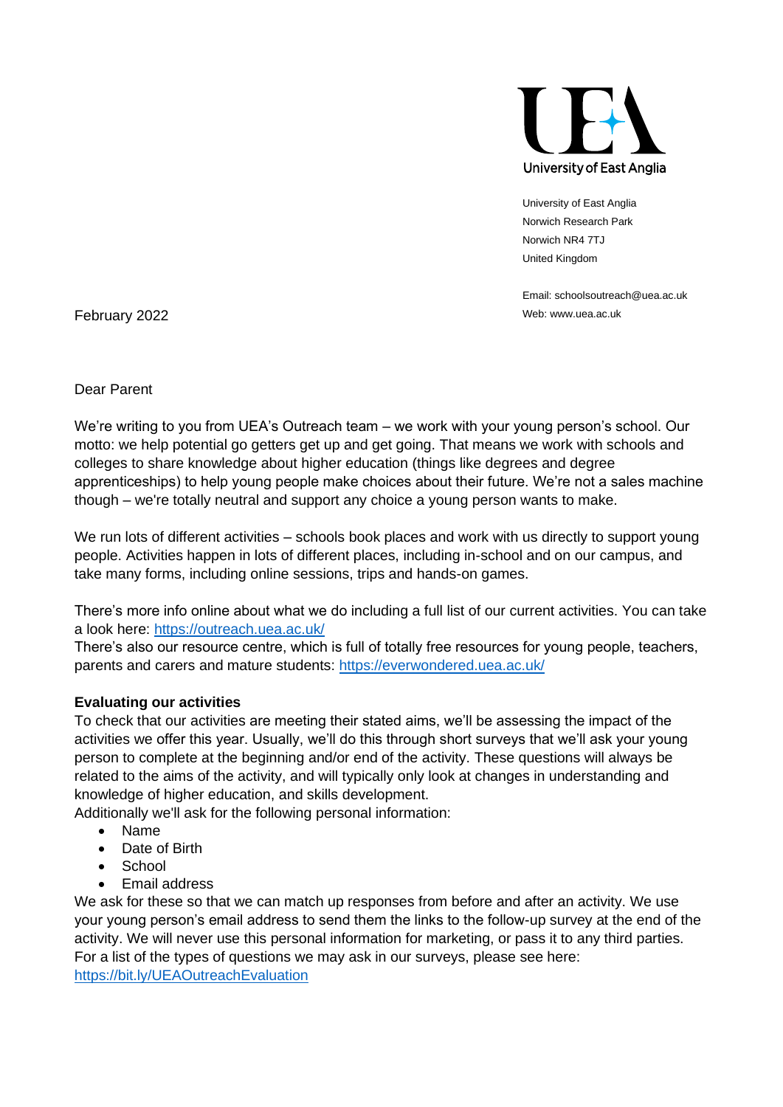

University of East Anglia Norwich Research Park Norwich NR4 7TJ United Kingdom

Email: schoolsoutreach@uea.ac.uk

February 2022 Web: www.uea.ac.uk

Dear Parent

We're writing to you from UEA's Outreach team – we work with your young person's school. Our motto: we help potential go getters get up and get going. That means we work with schools and colleges to share knowledge about higher education (things like degrees and degree apprenticeships) to help young people make choices about their future. We're not a sales machine though – we're totally neutral and support any choice a young person wants to make.

We run lots of different activities – schools book places and work with us directly to support young people. Activities happen in lots of different places, including in-school and on our campus, and take many forms, including online sessions, trips and hands-on games.

There's more info online about what we do including a full list of our current activities. You can take a look here:<https://outreach.uea.ac.uk/>

There's also our resource centre, which is full of totally free resources for young people, teachers, parents and carers and mature students:<https://everwondered.uea.ac.uk/>

### **Evaluating our activities**

To check that our activities are meeting their stated aims, we'll be assessing the impact of the activities we offer this year. Usually, we'll do this through short surveys that we'll ask your young person to complete at the beginning and/or end of the activity. These questions will always be related to the aims of the activity, and will typically only look at changes in understanding and knowledge of higher education, and skills development.

Additionally we'll ask for the following personal information:

- Name
- Date of Birth
- **School**
- Email address

We ask for these so that we can match up responses from before and after an activity. We use your young person's email address to send them the links to the follow-up survey at the end of the activity. We will never use this personal information for marketing, or pass it to any third parties. For a list of the types of questions we may ask in our surveys, please see here: <https://bit.ly/UEAOutreachEvaluation>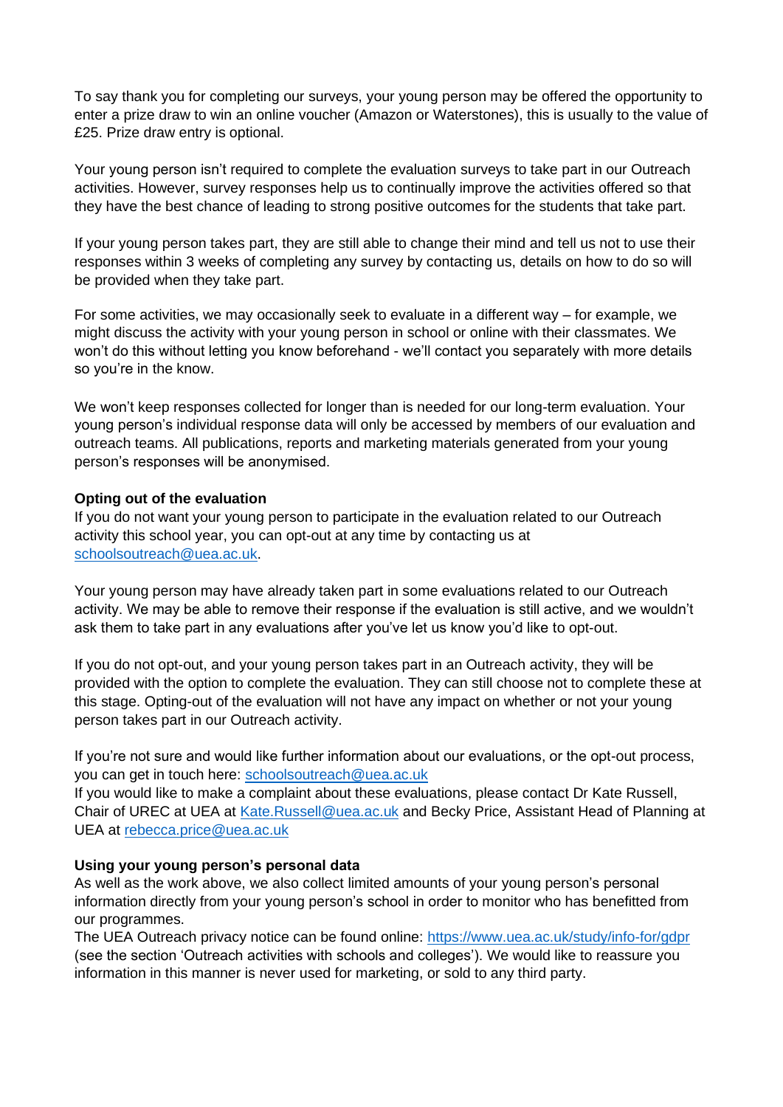To say thank you for completing our surveys, your young person may be offered the opportunity to enter a prize draw to win an online voucher (Amazon or Waterstones), this is usually to the value of £25. Prize draw entry is optional.

Your young person isn't required to complete the evaluation surveys to take part in our Outreach activities. However, survey responses help us to continually improve the activities offered so that they have the best chance of leading to strong positive outcomes for the students that take part.

If your young person takes part, they are still able to change their mind and tell us not to use their responses within 3 weeks of completing any survey by contacting us, details on how to do so will be provided when they take part.

For some activities, we may occasionally seek to evaluate in a different way – for example, we might discuss the activity with your young person in school or online with their classmates. We won't do this without letting you know beforehand - we'll contact you separately with more details so you're in the know.

We won't keep responses collected for longer than is needed for our long-term evaluation. Your young person's individual response data will only be accessed by members of our evaluation and outreach teams. All publications, reports and marketing materials generated from your young person's responses will be anonymised.

### **Opting out of the evaluation**

If you do not want your young person to participate in the evaluation related to our Outreach activity this school year, you can opt-out at any time by contacting us at [schoolsoutreach@uea.ac.uk.](mailto:rao.data@uea.ac.uk)

Your young person may have already taken part in some evaluations related to our Outreach activity. We may be able to remove their response if the evaluation is still active, and we wouldn't ask them to take part in any evaluations after you've let us know you'd like to opt-out.

If you do not opt-out, and your young person takes part in an Outreach activity, they will be provided with the option to complete the evaluation. They can still choose not to complete these at this stage. Opting-out of the evaluation will not have any impact on whether or not your young person takes part in our Outreach activity.

If you're not sure and would like further information about our evaluations, or the opt-out process, you can get in touch here: [schoolsoutreach@uea.ac.uk](mailto:schoolsoutreach@uea.ac.uk)

If you would like to make a complaint about these evaluations, please contact Dr Kate Russell, Chair of UREC at UEA at [Kate.Russell@uea.ac.uk](mailto:Kate.Russell@uea.ac.uk) and Becky Price, Assistant Head of Planning at UEA at [rebecca.price@uea.ac.uk](mailto:rebecca.price@uea.ac.uk)

### **Using your young person's personal data**

As well as the work above, we also collect limited amounts of your young person's personal information directly from your young person's school in order to monitor who has benefitted from our programmes.

The UEA Outreach privacy notice can be found online:<https://www.uea.ac.uk/study/info-for/gdpr> (see the section 'Outreach activities with schools and colleges'). We would like to reassure you information in this manner is never used for marketing, or sold to any third party.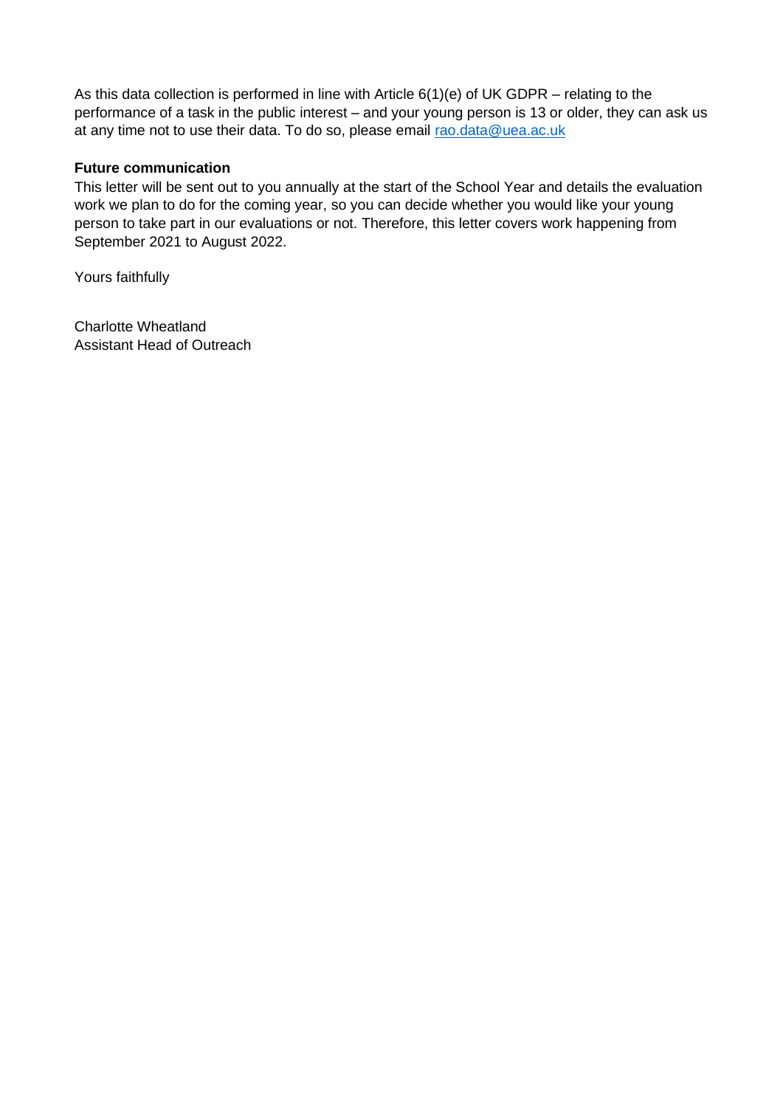As this data collection is performed in line with Article 6(1)(e) of UK GDPR – relating to the performance of a task in the public interest – and your young person is 13 or older, they can ask us at any time not to use their data. To do so, please email [rao.data@uea.ac.uk](mailto:rao.data@uea.ac.uk)

## **Future communication**

This letter will be sent out to you annually at the start of the School Year and details the evaluation work we plan to do for the coming year, so you can decide whether you would like your young person to take part in our evaluations or not. Therefore, this letter covers work happening from September 2021 to August 2022.

Yours faithfully

Charlotte Wheatland Assistant Head of Outreach